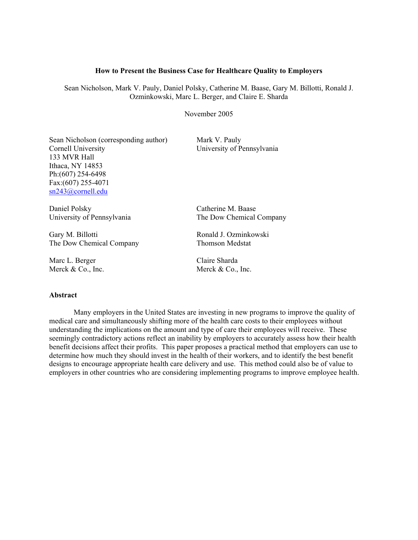#### **How to Present the Business Case for Healthcare Quality to Employers**

Sean Nicholson, Mark V. Pauly, Daniel Polsky, Catherine M. Baase, Gary M. Billotti, Ronald J. Ozminkowski, Marc L. Berger, and Claire E. Sharda

November 2005

Sean Nicholson (corresponding author) Mark V. Pauly Cornell University University of Pennsylvania 133 MVR Hall Ithaca, NY 14853 Ph:(607) 254-6498 Fax:(607) 255-4071 sn243@cornell.edu

Daniel Polsky Catherine M. Baase

Gary M. Billotti **Ronald J. Ozminkowski** The Dow Chemical Company Thomson Medstat

Marc L. Berger Claire Sharda

#### **Abstract**

University of Pennsylvania The Dow Chemical Company

Merck & Co., Inc. Merck & Co., Inc.

Many employers in the United States are investing in new programs to improve the quality of medical care and simultaneously shifting more of the health care costs to their employees without understanding the implications on the amount and type of care their employees will receive. These seemingly contradictory actions reflect an inability by employers to accurately assess how their health benefit decisions affect their profits. This paper proposes a practical method that employers can use to determine how much they should invest in the health of their workers, and to identify the best benefit designs to encourage appropriate health care delivery and use. This method could also be of value to employers in other countries who are considering implementing programs to improve employee health.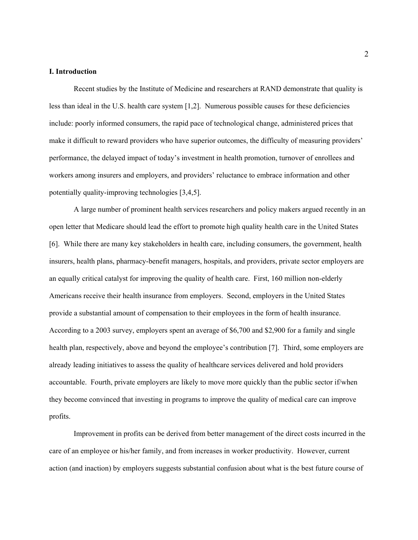#### **I. Introduction**

Recent studies by the Institute of Medicine and researchers at RAND demonstrate that quality is less than ideal in the U.S. health care system [1,2]. Numerous possible causes for these deficiencies include: poorly informed consumers, the rapid pace of technological change, administered prices that make it difficult to reward providers who have superior outcomes, the difficulty of measuring providers' performance, the delayed impact of today's investment in health promotion, turnover of enrollees and workers among insurers and employers, and providers' reluctance to embrace information and other potentially quality-improving technologies [3,4,5].

A large number of prominent health services researchers and policy makers argued recently in an open letter that Medicare should lead the effort to promote high quality health care in the United States [6]. While there are many key stakeholders in health care, including consumers, the government, health insurers, health plans, pharmacy-benefit managers, hospitals, and providers, private sector employers are an equally critical catalyst for improving the quality of health care. First, 160 million non-elderly Americans receive their health insurance from employers. Second, employers in the United States provide a substantial amount of compensation to their employees in the form of health insurance. According to a 2003 survey, employers spent an average of \$6,700 and \$2,900 for a family and single health plan, respectively, above and beyond the employee's contribution [7]. Third, some employers are already leading initiatives to assess the quality of healthcare services delivered and hold providers accountable. Fourth, private employers are likely to move more quickly than the public sector if/when they become convinced that investing in programs to improve the quality of medical care can improve profits.

Improvement in profits can be derived from better management of the direct costs incurred in the care of an employee or his/her family, and from increases in worker productivity. However, current action (and inaction) by employers suggests substantial confusion about what is the best future course of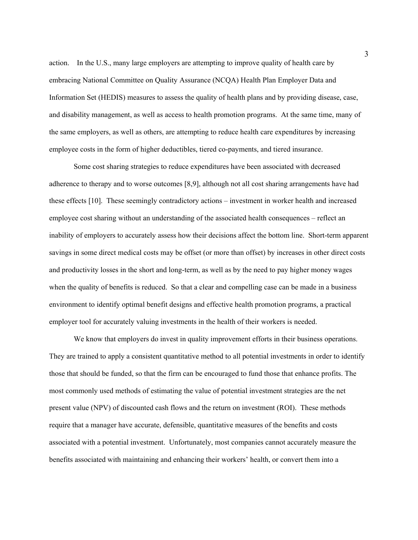action. In the U.S., many large employers are attempting to improve quality of health care by embracing National Committee on Quality Assurance (NCQA) Health Plan Employer Data and Information Set (HEDIS) measures to assess the quality of health plans and by providing disease, case, and disability management, as well as access to health promotion programs. At the same time, many of the same employers, as well as others, are attempting to reduce health care expenditures by increasing employee costs in the form of higher deductibles, tiered co-payments, and tiered insurance.

Some cost sharing strategies to reduce expenditures have been associated with decreased adherence to therapy and to worse outcomes [8,9], although not all cost sharing arrangements have had these effects [10]. These seemingly contradictory actions – investment in worker health and increased employee cost sharing without an understanding of the associated health consequences – reflect an inability of employers to accurately assess how their decisions affect the bottom line. Short-term apparent savings in some direct medical costs may be offset (or more than offset) by increases in other direct costs and productivity losses in the short and long-term, as well as by the need to pay higher money wages when the quality of benefits is reduced. So that a clear and compelling case can be made in a business environment to identify optimal benefit designs and effective health promotion programs, a practical employer tool for accurately valuing investments in the health of their workers is needed.

We know that employers do invest in quality improvement efforts in their business operations. They are trained to apply a consistent quantitative method to all potential investments in order to identify those that should be funded, so that the firm can be encouraged to fund those that enhance profits. The most commonly used methods of estimating the value of potential investment strategies are the net present value (NPV) of discounted cash flows and the return on investment (ROI). These methods require that a manager have accurate, defensible, quantitative measures of the benefits and costs associated with a potential investment. Unfortunately, most companies cannot accurately measure the benefits associated with maintaining and enhancing their workers' health, or convert them into a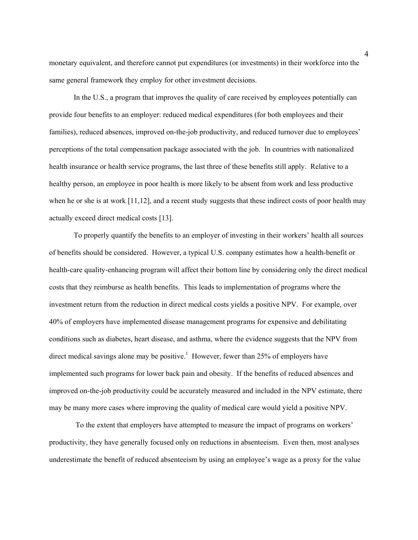monetary equivalent, and therefore cannot put expenditures (or investments) in their workforce into the same general framework they employ for other investment decisions.

In the U.S., a program that improves the quality of care received by employees potentially can provide four benefits to an employer: reduced medical expenditures (for both employees and their families), reduced absences, improved on-the-job productivity, and reduced turnover due to employees' perceptions of the total compensation package associated with the job. In countries with nationalized health insurance or health service programs, the last three of these benefits still apply. Relative to a healthy person, an employee in poor health is more likely to be absent from work and less productive when he or she is at work [11,12], and a recent study suggests that these indirect costs of poor health may actually exceed direct medical costs [13].

To properly quantify the benefits to an employer of investing in their workers' health all sources of benefits should be considered. However, a typical U.S. company estimates how a health-benefit or health-care quality-enhancing program will affect their bottom line by considering only the direct medical costs that they reimburse as health benefits. This leads to implementation of programs where the investment return from the reduction in direct medical costs yields a positive NPV. For example, over 40% of employers have implemented disease management programs for expensive and debilitating conditions such as diabetes, heart disease, and asthma, where the evidence suggests that the NPV from direct medical savings alone may be positive.<sup>1</sup> However, fewer than 25% of employers have implemented such programs for lower back pain and obesity. If the benefits of reduced absences and improved on-the-job productivity could be accurately measured and included in the NPV estimate, there may be many more cases where improving the quality of medical care would yield a positive NPV.

 To the extent that employers have attempted to measure the impact of programs on workers' productivity, they have generally focused only on reductions in absenteeism. Even then, most analyses underestimate the benefit of reduced absenteeism by using an employee's wage as a proxy for the value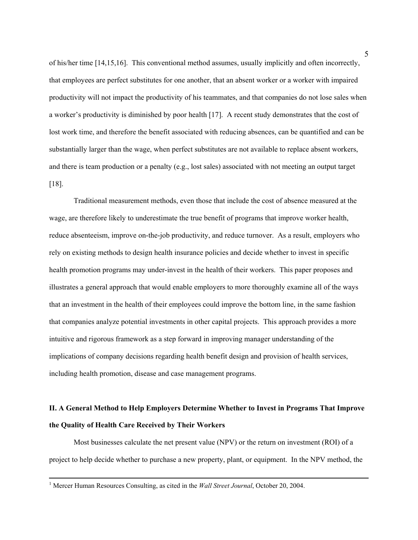of his/her time [14,15,16]. This conventional method assumes, usually implicitly and often incorrectly, that employees are perfect substitutes for one another, that an absent worker or a worker with impaired productivity will not impact the productivity of his teammates, and that companies do not lose sales when a worker's productivity is diminished by poor health [17]. A recent study demonstrates that the cost of lost work time, and therefore the benefit associated with reducing absences, can be quantified and can be substantially larger than the wage, when perfect substitutes are not available to replace absent workers, and there is team production or a penalty (e.g., lost sales) associated with not meeting an output target [18].

Traditional measurement methods, even those that include the cost of absence measured at the wage, are therefore likely to underestimate the true benefit of programs that improve worker health, reduce absenteeism, improve on-the-job productivity, and reduce turnover. As a result, employers who rely on existing methods to design health insurance policies and decide whether to invest in specific health promotion programs may under-invest in the health of their workers. This paper proposes and illustrates a general approach that would enable employers to more thoroughly examine all of the ways that an investment in the health of their employees could improve the bottom line, in the same fashion that companies analyze potential investments in other capital projects. This approach provides a more intuitive and rigorous framework as a step forward in improving manager understanding of the implications of company decisions regarding health benefit design and provision of health services, including health promotion, disease and case management programs.

# **II. A General Method to Help Employers Determine Whether to Invest in Programs That Improve the Quality of Health Care Received by Their Workers**

Most businesses calculate the net present value (NPV) or the return on investment (ROI) of a project to help decide whether to purchase a new property, plant, or equipment. In the NPV method, the

 $\frac{1}{1}$ <sup>1</sup> Mercer Human Resources Consulting, as cited in the *Wall Street Journal*, October 20, 2004.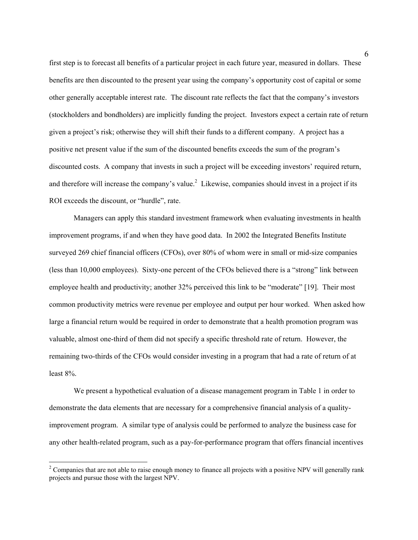first step is to forecast all benefits of a particular project in each future year, measured in dollars. These benefits are then discounted to the present year using the company's opportunity cost of capital or some other generally acceptable interest rate. The discount rate reflects the fact that the company's investors (stockholders and bondholders) are implicitly funding the project. Investors expect a certain rate of return given a project's risk; otherwise they will shift their funds to a different company. A project has a positive net present value if the sum of the discounted benefits exceeds the sum of the program's discounted costs. A company that invests in such a project will be exceeding investors' required return, and therefore will increase the company's value.<sup>2</sup> Likewise, companies should invest in a project if its ROI exceeds the discount, or "hurdle", rate.

 Managers can apply this standard investment framework when evaluating investments in health improvement programs, if and when they have good data. In 2002 the Integrated Benefits Institute surveyed 269 chief financial officers (CFOs), over 80% of whom were in small or mid-size companies (less than 10,000 employees). Sixty-one percent of the CFOs believed there is a "strong" link between employee health and productivity; another 32% perceived this link to be "moderate" [19]. Their most common productivity metrics were revenue per employee and output per hour worked. When asked how large a financial return would be required in order to demonstrate that a health promotion program was valuable, almost one-third of them did not specify a specific threshold rate of return. However, the remaining two-thirds of the CFOs would consider investing in a program that had a rate of return of at least 8%.

 We present a hypothetical evaluation of a disease management program in Table 1 in order to demonstrate the data elements that are necessary for a comprehensive financial analysis of a qualityimprovement program. A similar type of analysis could be performed to analyze the business case for any other health-related program, such as a pay-for-performance program that offers financial incentives

 $\overline{a}$ 

 $2^2$  Companies that are not able to raise enough money to finance all projects with a positive NPV will generally rank projects and pursue those with the largest NPV.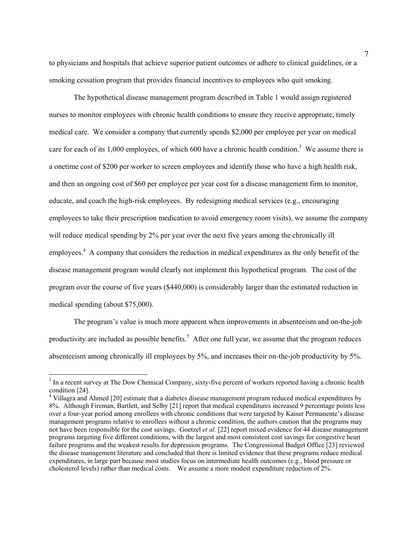to physicians and hospitals that achieve superior patient outcomes or adhere to clinical guidelines, or a smoking cessation program that provides financial incentives to employees who quit smoking.

The hypothetical disease management program described in Table 1 would assign registered nurses to monitor employees with chronic health conditions to ensure they receive appropriate, timely medical care. We consider a company that currently spends \$2,000 per employee per year on medical care for each of its  $1,000$  employees, of which 600 have a chronic health condition.<sup>3</sup> We assume there is a onetime cost of \$200 per worker to screen employees and identify those who have a high health risk, and then an ongoing cost of \$60 per employee per year cost for a disease management firm to monitor, educate, and coach the high-risk employees. By redesigning medical services (e.g., encouraging employees to take their prescription medication to avoid emergency room visits), we assume the company will reduce medical spending by 2% per year over the next five years among the chronically ill employees.<sup>4</sup> A company that considers the reduction in medical expenditures as the only benefit of the disease management program would clearly not implement this hypothetical program. The cost of the program over the course of five years (\$440,000) is considerably larger than the estimated reduction in medical spending (about \$75,000).

The program's value is much more apparent when improvements in absenteeism and on-the-job productivity are included as possible benefits.<sup>5</sup> After one full year, we assume that the program reduces absenteeism among chronically ill employees by 5%, and increases their on-the-job productivity by 5%.

 $\overline{a}$ 

 $3$  In a recent survey at The Dow Chemical Company, sixty-five percent of workers reported having a chronic health condition [24].

<sup>&</sup>lt;sup>4</sup> Villagra and Ahmed [20] estimate that a diabetes disease management program reduced medical expenditures by 8%. Although Fireman, Bartlett, and Selby [21] report that medical expenditures increased 9 percentage points less over a four-year period among enrollees with chronic conditions that were targeted by Kaiser Permanente's disease management programs relative to enrollees without a chronic condition, the authors caution that the programs may not have been responsible for the cost savings. Goetzel *et al.* [22] report mixed evidence for 44 disease management programs targeting five different conditions, with the largest and most consistent cost savings for congestive heart failure programs and the weakest results for depression programs. The Congressional Budget Office [23] reviewed the disease management literature and concluded that there is limited evidence that these programs reduce medical expenditures, in large part because most studies focus on intermediate health outcomes (e.g., blood pressure or cholesterol levels) rather than medical costs. We assume a more modest expenditure reduction of 2%.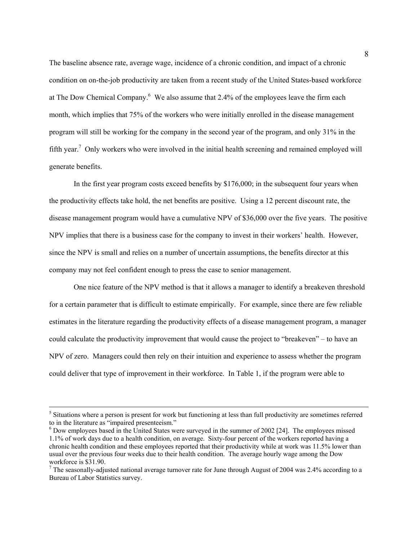The baseline absence rate, average wage, incidence of a chronic condition, and impact of a chronic condition on on-the-job productivity are taken from a recent study of the United States-based workforce at The Dow Chemical Company.<sup>6</sup> We also assume that 2.4% of the employees leave the firm each month, which implies that 75% of the workers who were initially enrolled in the disease management program will still be working for the company in the second year of the program, and only 31% in the fifth year.<sup>7</sup> Only workers who were involved in the initial health screening and remained employed will generate benefits.

In the first year program costs exceed benefits by \$176,000; in the subsequent four years when the productivity effects take hold, the net benefits are positive. Using a 12 percent discount rate, the disease management program would have a cumulative NPV of \$36,000 over the five years. The positive NPV implies that there is a business case for the company to invest in their workers' health. However, since the NPV is small and relies on a number of uncertain assumptions, the benefits director at this company may not feel confident enough to press the case to senior management.

One nice feature of the NPV method is that it allows a manager to identify a breakeven threshold for a certain parameter that is difficult to estimate empirically. For example, since there are few reliable estimates in the literature regarding the productivity effects of a disease management program, a manager could calculate the productivity improvement that would cause the project to "breakeven" – to have an NPV of zero. Managers could then rely on their intuition and experience to assess whether the program could deliver that type of improvement in their workforce. In Table 1, if the program were able to

 $\frac{1}{5}$ <sup>5</sup> Situations where a person is present for work but functioning at less than full productivity are sometimes referred to in the literature as "impaired presenteeism."

<sup>&</sup>lt;sup>6</sup> Dow employees based in the United States were surveyed in the summer of 2002 [24]. The employees missed 1.1% of work days due to a health condition, on average. Sixty-four percent of the workers reported having a chronic health condition and these employees reported that their productivity while at work was 11.5% lower than usual over the previous four weeks due to their health condition. The average hourly wage among the Dow workforce is \$31.90.

<sup>&</sup>lt;sup>7</sup> The seasonally-adjusted national average turnover rate for June through August of 2004 was 2.4% according to a Bureau of Labor Statistics survey.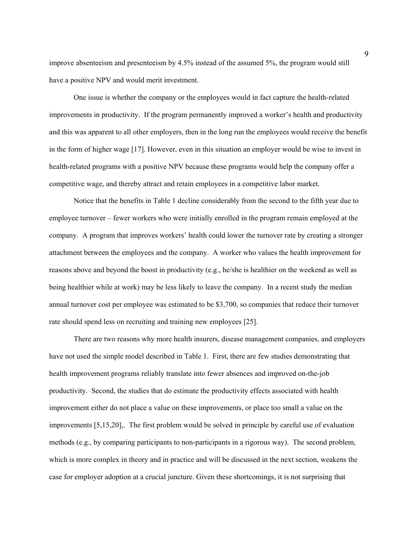improve absenteeism and presenteeism by 4.5% instead of the assumed 5%, the program would still have a positive NPV and would merit investment.

One issue is whether the company or the employees would in fact capture the health-related improvements in productivity. If the program permanently improved a worker's health and productivity and this was apparent to all other employers, then in the long run the employees would receive the benefit in the form of higher wage [17]. However, even in this situation an employer would be wise to invest in health-related programs with a positive NPV because these programs would help the company offer a competitive wage, and thereby attract and retain employees in a competitive labor market.

Notice that the benefits in Table 1 decline considerably from the second to the fifth year due to employee turnover – fewer workers who were initially enrolled in the program remain employed at the company. A program that improves workers' health could lower the turnover rate by creating a stronger attachment between the employees and the company. A worker who values the health improvement for reasons above and beyond the boost in productivity (e.g., he/she is healthier on the weekend as well as being healthier while at work) may be less likely to leave the company. In a recent study the median annual turnover cost per employee was estimated to be \$3,700, so companies that reduce their turnover rate should spend less on recruiting and training new employees [25].

There are two reasons why more health insurers, disease management companies, and employers have not used the simple model described in Table 1. First, there are few studies demonstrating that health improvement programs reliably translate into fewer absences and improved on-the-job productivity. Second, the studies that do estimate the productivity effects associated with health improvement either do not place a value on these improvements, or place too small a value on the improvements [5,15,20],. The first problem would be solved in principle by careful use of evaluation methods (e.g., by comparing participants to non-participants in a rigorous way). The second problem, which is more complex in theory and in practice and will be discussed in the next section, weakens the case for employer adoption at a crucial juncture. Given these shortcomings, it is not surprising that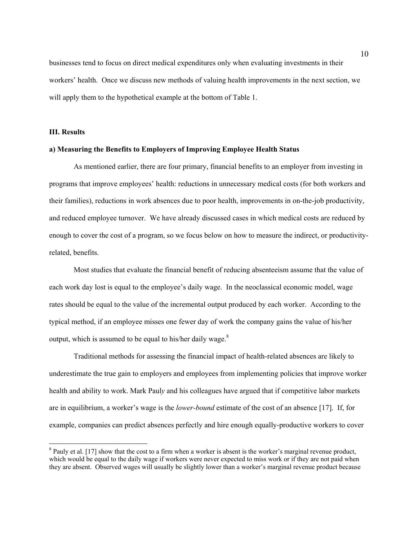businesses tend to focus on direct medical expenditures only when evaluating investments in their workers' health. Once we discuss new methods of valuing health improvements in the next section, we will apply them to the hypothetical example at the bottom of Table 1.

#### **III. Results**

 $\overline{a}$ 

#### **a) Measuring the Benefits to Employers of Improving Employee Health Status**

As mentioned earlier, there are four primary, financial benefits to an employer from investing in programs that improve employees' health: reductions in unnecessary medical costs (for both workers and their families), reductions in work absences due to poor health, improvements in on-the-job productivity, and reduced employee turnover. We have already discussed cases in which medical costs are reduced by enough to cover the cost of a program, so we focus below on how to measure the indirect, or productivityrelated, benefits.

Most studies that evaluate the financial benefit of reducing absenteeism assume that the value of each work day lost is equal to the employee's daily wage. In the neoclassical economic model, wage rates should be equal to the value of the incremental output produced by each worker. According to the typical method, if an employee misses one fewer day of work the company gains the value of his/her output, which is assumed to be equal to his/her daily wage. $8$ 

Traditional methods for assessing the financial impact of health-related absences are likely to underestimate the true gain to employers and employees from implementing policies that improve worker health and ability to work. Mark Paul*y* and his colleagues have argued that if competitive labor markets are in equilibrium, a worker's wage is the *lower-bound* estimate of the cost of an absence [17]. If, for example, companies can predict absences perfectly and hire enough equally-productive workers to cover

 $8$  Pauly et al. [17] show that the cost to a firm when a worker is absent is the worker's marginal revenue product, which would be equal to the daily wage if workers were never expected to miss work or if they are not paid when they are absent. Observed wages will usually be slightly lower than a worker's marginal revenue product because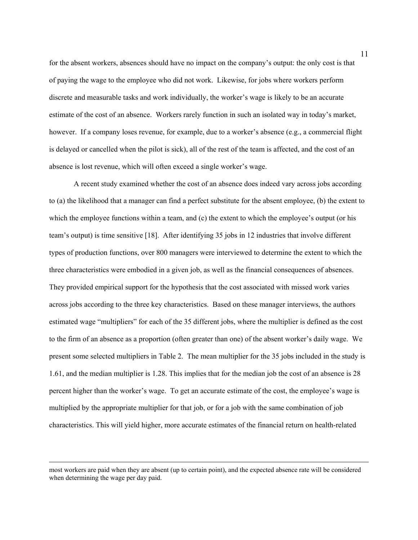for the absent workers, absences should have no impact on the company's output: the only cost is that of paying the wage to the employee who did not work. Likewise, for jobs where workers perform discrete and measurable tasks and work individually, the worker's wage is likely to be an accurate estimate of the cost of an absence. Workers rarely function in such an isolated way in today's market, however. If a company loses revenue, for example, due to a worker's absence (e.g., a commercial flight is delayed or cancelled when the pilot is sick), all of the rest of the team is affected, and the cost of an absence is lost revenue, which will often exceed a single worker's wage.

 A recent study examined whether the cost of an absence does indeed vary across jobs according to (a) the likelihood that a manager can find a perfect substitute for the absent employee, (b) the extent to which the employee functions within a team, and (c) the extent to which the employee's output (or his team's output) is time sensitive [18]. After identifying 35 jobs in 12 industries that involve different types of production functions, over 800 managers were interviewed to determine the extent to which the three characteristics were embodied in a given job, as well as the financial consequences of absences. They provided empirical support for the hypothesis that the cost associated with missed work varies across jobs according to the three key characteristics. Based on these manager interviews, the authors estimated wage "multipliers" for each of the 35 different jobs, where the multiplier is defined as the cost to the firm of an absence as a proportion (often greater than one) of the absent worker's daily wage. We present some selected multipliers in Table 2. The mean multiplier for the 35 jobs included in the study is 1.61, and the median multiplier is 1.28. This implies that for the median job the cost of an absence is 28 percent higher than the worker's wage. To get an accurate estimate of the cost, the employee's wage is multiplied by the appropriate multiplier for that job, or for a job with the same combination of job characteristics. This will yield higher, more accurate estimates of the financial return on health-related

most workers are paid when they are absent (up to certain point), and the expected absence rate will be considered when determining the wage per day paid.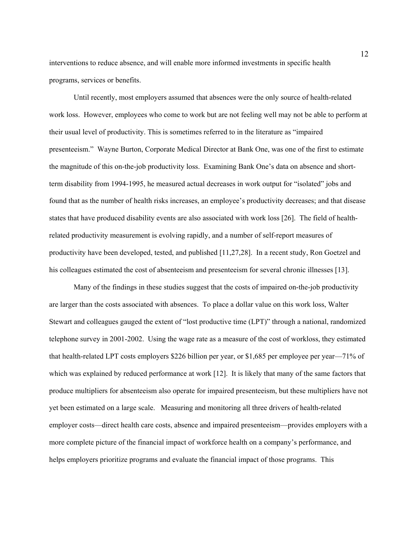interventions to reduce absence, and will enable more informed investments in specific health programs, services or benefits.

Until recently, most employers assumed that absences were the only source of health-related work loss. However, employees who come to work but are not feeling well may not be able to perform at their usual level of productivity. This is sometimes referred to in the literature as "impaired presenteeism." Wayne Burton, Corporate Medical Director at Bank One, was one of the first to estimate the magnitude of this on-the-job productivity loss. Examining Bank One's data on absence and shortterm disability from 1994-1995, he measured actual decreases in work output for "isolated" jobs and found that as the number of health risks increases, an employee's productivity decreases; and that disease states that have produced disability events are also associated with work loss [26]. The field of healthrelated productivity measurement is evolving rapidly, and a number of self-report measures of productivity have been developed, tested, and published [11,27,28]. In a recent study, Ron Goetzel and his colleagues estimated the cost of absenteeism and presenteeism for several chronic illnesses [13].

Many of the findings in these studies suggest that the costs of impaired on-the-job productivity are larger than the costs associated with absences. To place a dollar value on this work loss, Walter Stewart and colleagues gauged the extent of "lost productive time (LPT)" through a national, randomized telephone survey in 2001-2002. Using the wage rate as a measure of the cost of workloss, they estimated that health-related LPT costs employers \$226 billion per year, or \$1,685 per employee per year—71% of which was explained by reduced performance at work [12]. It is likely that many of the same factors that produce multipliers for absenteeism also operate for impaired presenteeism, but these multipliers have not yet been estimated on a large scale. Measuring and monitoring all three drivers of health-related employer costs—direct health care costs, absence and impaired presenteeism—provides employers with a more complete picture of the financial impact of workforce health on a company's performance, and helps employers prioritize programs and evaluate the financial impact of those programs. This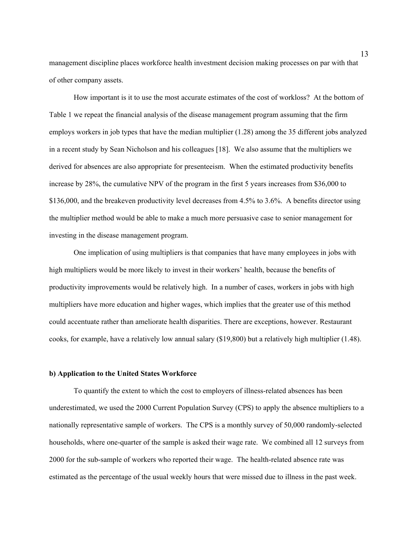management discipline places workforce health investment decision making processes on par with that of other company assets.

 How important is it to use the most accurate estimates of the cost of workloss? At the bottom of Table 1 we repeat the financial analysis of the disease management program assuming that the firm employs workers in job types that have the median multiplier (1.28) among the 35 different jobs analyzed in a recent study by Sean Nicholson and his colleagues [18]. We also assume that the multipliers we derived for absences are also appropriate for presenteeism. When the estimated productivity benefits increase by 28%, the cumulative NPV of the program in the first 5 years increases from \$36,000 to \$136,000, and the breakeven productivity level decreases from 4.5% to 3.6%. A benefits director using the multiplier method would be able to make a much more persuasive case to senior management for investing in the disease management program.

One implication of using multipliers is that companies that have many employees in jobs with high multipliers would be more likely to invest in their workers' health, because the benefits of productivity improvements would be relatively high. In a number of cases, workers in jobs with high multipliers have more education and higher wages, which implies that the greater use of this method could accentuate rather than ameliorate health disparities. There are exceptions, however. Restaurant cooks, for example, have a relatively low annual salary (\$19,800) but a relatively high multiplier (1.48).

#### **b) Application to the United States Workforce**

To quantify the extent to which the cost to employers of illness-related absences has been underestimated, we used the 2000 Current Population Survey (CPS) to apply the absence multipliers to a nationally representative sample of workers. The CPS is a monthly survey of 50,000 randomly-selected households, where one-quarter of the sample is asked their wage rate. We combined all 12 surveys from 2000 for the sub-sample of workers who reported their wage. The health-related absence rate was estimated as the percentage of the usual weekly hours that were missed due to illness in the past week.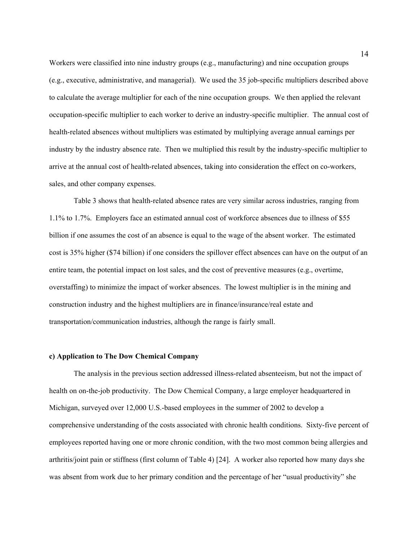Workers were classified into nine industry groups (e.g., manufacturing) and nine occupation groups (e.g., executive, administrative, and managerial). We used the 35 job-specific multipliers described above to calculate the average multiplier for each of the nine occupation groups. We then applied the relevant occupation-specific multiplier to each worker to derive an industry-specific multiplier. The annual cost of health-related absences without multipliers was estimated by multiplying average annual earnings per industry by the industry absence rate. Then we multiplied this result by the industry-specific multiplier to arrive at the annual cost of health-related absences, taking into consideration the effect on co-workers, sales, and other company expenses.

Table 3 shows that health-related absence rates are very similar across industries, ranging from 1.1% to 1.7%. Employers face an estimated annual cost of workforce absences due to illness of \$55 billion if one assumes the cost of an absence is equal to the wage of the absent worker. The estimated cost is 35% higher (\$74 billion) if one considers the spillover effect absences can have on the output of an entire team, the potential impact on lost sales, and the cost of preventive measures (e.g., overtime, overstaffing) to minimize the impact of worker absences. The lowest multiplier is in the mining and construction industry and the highest multipliers are in finance/insurance/real estate and transportation/communication industries, although the range is fairly small.

#### **c) Application to The Dow Chemical Company**

The analysis in the previous section addressed illness-related absenteeism, but not the impact of health on on-the-job productivity. The Dow Chemical Company, a large employer headquartered in Michigan, surveyed over 12,000 U.S.-based employees in the summer of 2002 to develop a comprehensive understanding of the costs associated with chronic health conditions. Sixty-five percent of employees reported having one or more chronic condition, with the two most common being allergies and arthritis/joint pain or stiffness (first column of Table 4) [24]. A worker also reported how many days she was absent from work due to her primary condition and the percentage of her "usual productivity" she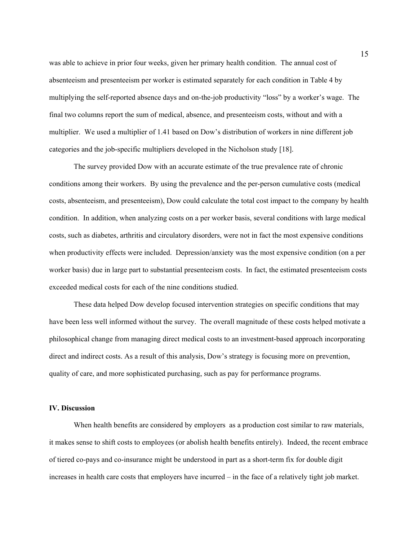was able to achieve in prior four weeks, given her primary health condition. The annual cost of absenteeism and presenteeism per worker is estimated separately for each condition in Table 4 by multiplying the self-reported absence days and on-the-job productivity "loss" by a worker's wage. The final two columns report the sum of medical, absence, and presenteeism costs, without and with a multiplier. We used a multiplier of 1.41 based on Dow's distribution of workers in nine different job categories and the job-specific multipliers developed in the Nicholson study [18].

The survey provided Dow with an accurate estimate of the true prevalence rate of chronic conditions among their workers. By using the prevalence and the per-person cumulative costs (medical costs, absenteeism, and presenteeism), Dow could calculate the total cost impact to the company by health condition. In addition, when analyzing costs on a per worker basis, several conditions with large medical costs, such as diabetes, arthritis and circulatory disorders, were not in fact the most expensive conditions when productivity effects were included. Depression/anxiety was the most expensive condition (on a per worker basis) due in large part to substantial presenteeism costs. In fact, the estimated presenteeism costs exceeded medical costs for each of the nine conditions studied.

These data helped Dow develop focused intervention strategies on specific conditions that may have been less well informed without the survey. The overall magnitude of these costs helped motivate a philosophical change from managing direct medical costs to an investment-based approach incorporating direct and indirect costs. As a result of this analysis, Dow's strategy is focusing more on prevention, quality of care, and more sophisticated purchasing, such as pay for performance programs.

#### **IV. Discussion**

When health benefits are considered by employers as a production cost similar to raw materials, it makes sense to shift costs to employees (or abolish health benefits entirely). Indeed, the recent embrace of tiered co-pays and co-insurance might be understood in part as a short-term fix for double digit increases in health care costs that employers have incurred – in the face of a relatively tight job market.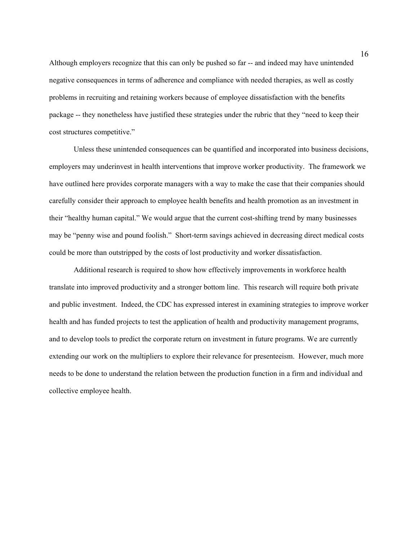Although employers recognize that this can only be pushed so far -- and indeed may have unintended negative consequences in terms of adherence and compliance with needed therapies, as well as costly problems in recruiting and retaining workers because of employee dissatisfaction with the benefits package -- they nonetheless have justified these strategies under the rubric that they "need to keep their cost structures competitive."

Unless these unintended consequences can be quantified and incorporated into business decisions, employers may underinvest in health interventions that improve worker productivity. The framework we have outlined here provides corporate managers with a way to make the case that their companies should carefully consider their approach to employee health benefits and health promotion as an investment in their "healthy human capital." We would argue that the current cost-shifting trend by many businesses may be "penny wise and pound foolish." Short-term savings achieved in decreasing direct medical costs could be more than outstripped by the costs of lost productivity and worker dissatisfaction.

Additional research is required to show how effectively improvements in workforce health translate into improved productivity and a stronger bottom line. This research will require both private and public investment. Indeed, the CDC has expressed interest in examining strategies to improve worker health and has funded projects to test the application of health and productivity management programs, and to develop tools to predict the corporate return on investment in future programs. We are currently extending our work on the multipliers to explore their relevance for presenteeism. However, much more needs to be done to understand the relation between the production function in a firm and individual and collective employee health.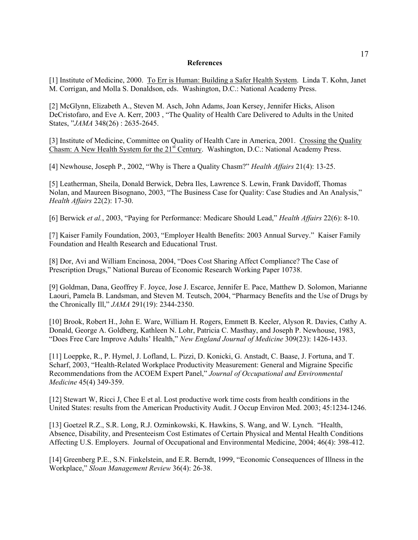#### **References**

[1] Institute of Medicine, 2000. To Err is Human: Building a Safer Health System. Linda T. Kohn, Janet M. Corrigan, and Molla S. Donaldson, eds. Washington, D.C.: National Academy Press.

[2] McGlynn, Elizabeth A., Steven M. Asch, John Adams, Joan Kersey, Jennifer Hicks, Alison DeCristofaro, and Eve A. Kerr, 2003 , "The Quality of Health Care Delivered to Adults in the United States, "*JAMA* 348(26) : 2635-2645.

[3] Institute of Medicine, Committee on Quality of Health Care in America, 2001. Crossing the Quality Chasm: A New Health System for the 21<sup>st</sup> Century. Washington, D.C.: National Academy Press.

[4] Newhouse, Joseph P., 2002, "Why is There a Quality Chasm?" *Health Affairs* 21(4): 13-25.

[5] Leatherman, Sheila, Donald Berwick, Debra Iles, Lawrence S. Lewin, Frank Davidoff, Thomas Nolan, and Maureen Bisognano, 2003, "The Business Case for Quality: Case Studies and An Analysis," *Health Affairs* 22(2): 17-30.

[6] Berwick *et al.*, 2003, "Paying for Performance: Medicare Should Lead," *Health Affairs* 22(6): 8-10.

[7] Kaiser Family Foundation, 2003, "Employer Health Benefits: 2003 Annual Survey." Kaiser Family Foundation and Health Research and Educational Trust.

[8] Dor, Avi and William Encinosa, 2004, "Does Cost Sharing Affect Compliance? The Case of Prescription Drugs," National Bureau of Economic Research Working Paper 10738.

[9] Goldman, Dana, Geoffrey F. Joyce, Jose J. Escarce, Jennifer E. Pace, Matthew D. Solomon, Marianne Laouri, Pamela B. Landsman, and Steven M. Teutsch, 2004, "Pharmacy Benefits and the Use of Drugs by the Chronically Ill," *JAMA* 291(19): 2344-2350.

[10] Brook, Robert H., John E. Ware, William H. Rogers, Emmett B. Keeler, Alyson R. Davies, Cathy A. Donald, George A. Goldberg, Kathleen N. Lohr, Patricia C. Masthay, and Joseph P. Newhouse, 1983, "Does Free Care Improve Adults' Health," *New England Journal of Medicine* 309(23): 1426-1433.

[11] Loeppke, R., P. Hymel, J. Lofland, L. Pizzi, D. Konicki, G. Anstadt, C. Baase, J. Fortuna, and T. Scharf, 2003, "Health-Related Workplace Productivity Measurement: General and Migraine Specific Recommendations from the ACOEM Expert Panel," *Journal of Occupational and Environmental Medicine* 45(4) 349-359.

[12] Stewart W, Ricci J, Chee E et al. Lost productive work time costs from health conditions in the United States: results from the American Productivity Audit. J Occup Environ Med. 2003; 45:1234-1246.

[13] Goetzel R.Z., S.R. Long, R.J. Ozminkowski, K. Hawkins, S. Wang, and W. Lynch. "Health, Absence, Disability, and Presenteeism Cost Estimates of Certain Physical and Mental Health Conditions Affecting U.S. Employers. Journal of Occupational and Environmental Medicine, 2004; 46(4): 398-412.

[14] Greenberg P.E., S.N. Finkelstein, and E.R. Berndt, 1999, "Economic Consequences of Illness in the Workplace," *Sloan Management Review* 36(4): 26-38.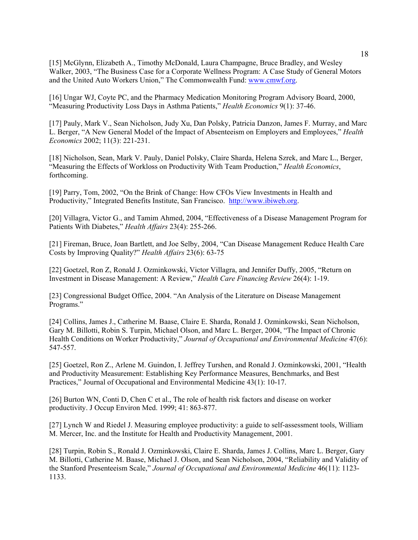[15] McGlynn, Elizabeth A., Timothy McDonald, Laura Champagne, Bruce Bradley, and Wesley Walker, 2003, "The Business Case for a Corporate Wellness Program: A Case Study of General Motors and the United Auto Workers Union," The Commonwealth Fund: www.cmwf.org.

[16] Ungar WJ, Coyte PC, and the Pharmacy Medication Monitoring Program Advisory Board, 2000, "Measuring Productivity Loss Days in Asthma Patients," *Health Economics* 9(1): 37-46.

[17] Pauly, Mark V., Sean Nicholson, Judy Xu, Dan Polsky, Patricia Danzon, James F. Murray, and Marc L. Berger, "A New General Model of the Impact of Absenteeism on Employers and Employees," *Health Economics* 2002; 11(3): 221-231.

[18] Nicholson, Sean, Mark V. Pauly, Daniel Polsky, Claire Sharda, Helena Szrek, and Marc L., Berger, "Measuring the Effects of Workloss on Productivity With Team Production," *Health Economics*, forthcoming.

[19] Parry, Tom, 2002, "On the Brink of Change: How CFOs View Investments in Health and Productivity," Integrated Benefits Institute, San Francisco. http://www.ibiweb.org.

[20] Villagra, Victor G., and Tamim Ahmed, 2004, "Effectiveness of a Disease Management Program for Patients With Diabetes," *Health Affairs* 23(4): 255-266.

[21] Fireman, Bruce, Joan Bartlett, and Joe Selby, 2004, "Can Disease Management Reduce Health Care Costs by Improving Quality?" *Health Affairs* 23(6): 63-75

[22] Goetzel, Ron Z, Ronald J. Ozminkowski, Victor Villagra, and Jennifer Duffy, 2005, "Return on Investment in Disease Management: A Review," *Health Care Financing Review* 26(4): 1-19.

[23] Congressional Budget Office, 2004. "An Analysis of the Literature on Disease Management Programs."

[24] Collins, James J., Catherine M. Baase, Claire E. Sharda, Ronald J. Ozminkowski, Sean Nicholson, Gary M. Billotti, Robin S. Turpin, Michael Olson, and Marc L. Berger, 2004, "The Impact of Chronic Health Conditions on Worker Productivity," *Journal of Occupational and Environmental Medicine* 47(6): 547-557.

[25] Goetzel, Ron Z., Arlene M. Guindon, I. Jeffrey Turshen, and Ronald J. Ozminkowski, 2001, "Health and Productivity Measurement: Establishing Key Performance Measures, Benchmarks, and Best Practices," Journal of Occupational and Environmental Medicine 43(1): 10-17.

[26] Burton WN, Conti D, Chen C et al., The role of health risk factors and disease on worker productivity. J Occup Environ Med. 1999; 41: 863-877.

[27] Lynch W and Riedel J. Measuring employee productivity: a guide to self-assessment tools, William M. Mercer, Inc. and the Institute for Health and Productivity Management, 2001.

[28] Turpin, Robin S., Ronald J. Ozminkowski, Claire E. Sharda, James J. Collins, Marc L. Berger, Gary M. Billotti, Catherine M. Baase, Michael J. Olson, and Sean Nicholson, 2004, "Reliability and Validity of the Stanford Presenteeism Scale," *Journal of Occupational and Environmental Medicine* 46(11): 1123- 1133.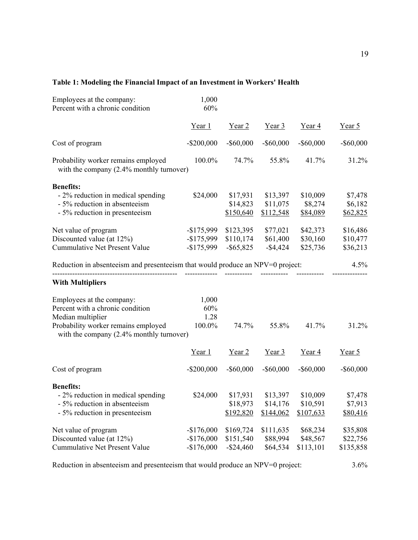### **Table 1: Modeling the Financial Impact of an Investment in Workers' Health**

| Employees at the company:<br>Percent with a chronic condition                      | 1,000<br>60%  |              |              |              |              |
|------------------------------------------------------------------------------------|---------------|--------------|--------------|--------------|--------------|
|                                                                                    | Year 1        | Year 2       | Year $3$     | Year 4       | Year $5$     |
| Cost of program                                                                    | $-$ \$200,000 | $-$ \$60,000 | $-$ \$60,000 | $-$ \$60,000 | $-$ \$60,000 |
| Probability worker remains employed<br>with the company $(2.4\%$ monthly turnover) | 100.0%        | 74.7%        | 55.8%        | 41.7%        | 31.2%        |
| <b>Benefits:</b>                                                                   |               |              |              |              |              |
| - 2% reduction in medical spending                                                 | \$24,000      | \$17,931     | \$13,397     | \$10,009     | \$7,478      |
| - 5% reduction in absenteeism                                                      |               | \$14,823     | \$11,075     | \$8,274      | \$6,182      |
| - 5% reduction in presenteeism                                                     |               | \$150,640    | \$112,548    | \$84,089     | \$62,825     |
| Net value of program                                                               | $-$ \$175,999 | \$123,395    | \$77,021     | \$42,373     | \$16,486     |
| Discounted value (at 12%)                                                          | $-$ \$175,999 | \$110,174    | \$61,400     | \$30,160     | \$10,477     |
| <b>Cummulative Net Present Value</b>                                               | $-$ \$175,999 | $-$ \$65,825 | $-$4,424$    | \$25,736     | \$36,213     |
| Reduction in absenteeism and presenteeism that would produce an NPV=0 project:     |               |              |              |              | 4.5%         |
| <b>With Multipliers</b>                                                            |               |              |              |              |              |
| Employees at the company:                                                          | 1,000         |              |              |              |              |
| Percent with a chronic condition                                                   | 60%           |              |              |              |              |
| Median multiplier                                                                  | 1.28          |              |              |              |              |
| Probability worker remains employed<br>with the company $(2.4\%$ monthly turnover) | 100.0%        | 74.7%        | 55.8%        | 41.7%        | 31.2%        |
|                                                                                    | Year 1        | Year 2       | Year 3       | Year 4       | Year 5       |
| Cost of program                                                                    | $-$ \$200,000 | $-$ \$60,000 | $-$ \$60,000 | $-$ \$60,000 | $-$ \$60,000 |
| <b>Benefits:</b>                                                                   |               |              |              |              |              |
| - 2% reduction in medical spending                                                 | \$24,000      | \$17,931     | \$13,397     | \$10,009     | \$7,478      |
| - 5% reduction in absenteeism                                                      |               | \$18,973     | \$14,176     | \$10,591     | \$7,913      |
| - 5% reduction in presenteeism                                                     |               | \$192,820    | \$144,062    | \$107,633    | \$80,416     |
| Net value of program                                                               | $-$176,000$   | \$169,724    | \$111,635    | \$68,234     | \$35,808     |
| Discounted value (at 12%)                                                          | $-$176,000$   | \$151,540    | \$88,994     | \$48,567     | \$22,756     |
| <b>Cummulative Net Present Value</b>                                               | $-$176,000$   | $-$ \$24,460 | \$64,534     | \$113,101    | \$135,858    |

Reduction in absenteeism and presenteeism that would produce an NPV=0 project: 3.6%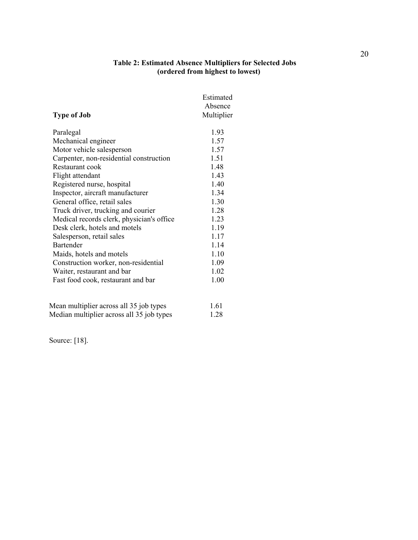#### **Table 2: Estimated Absence Multipliers for Selected Jobs (ordered from highest to lowest)**

|                                           | Estimated  |
|-------------------------------------------|------------|
|                                           | Absence    |
| <b>Type of Job</b>                        | Multiplier |
| Paralegal                                 | 1.93       |
| Mechanical engineer                       | 1.57       |
| Motor vehicle salesperson                 | 1.57       |
| Carpenter, non-residential construction   | 1.51       |
| Restaurant cook                           | 1.48       |
| Flight attendant                          | 1.43       |
| Registered nurse, hospital                | 1.40       |
| Inspector, aircraft manufacturer          | 1.34       |
| General office, retail sales              | 1.30       |
| Truck driver, trucking and courier        | 1.28       |
| Medical records clerk, physician's office | 1.23       |
| Desk clerk, hotels and motels             | 1.19       |
| Salesperson, retail sales                 | 1.17       |
| <b>Bartender</b>                          | 1.14       |
| Maids, hotels and motels                  | 1.10       |
| Construction worker, non-residential      | 1.09       |
| Waiter, restaurant and bar                | 1.02       |
| Fast food cook, restaurant and bar        | 1.00       |
| Mean multiplier across all 35 job types   | 1.61       |
| Median multiplier across all 35 job types | 1.28       |

Source: [18].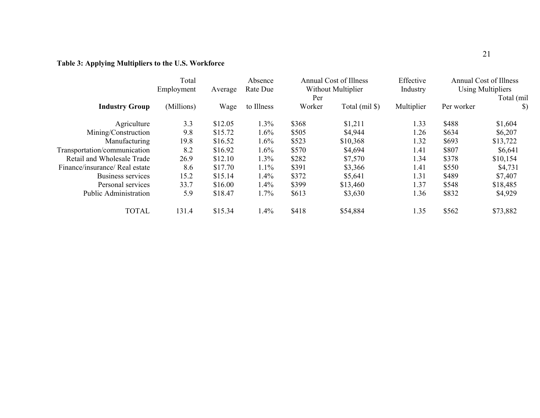## **Table 3: Applying Multipliers to the U.S. Workforce**

|                                | Total<br>Employment<br>Average |         | Absence<br>Rate Due | <b>Annual Cost of Illness</b><br>Without Multiplier<br>Per |                | Effective<br>Industry | Annual Cost of Illness<br><b>Using Multipliers</b><br>Total (mil |               |
|--------------------------------|--------------------------------|---------|---------------------|------------------------------------------------------------|----------------|-----------------------|------------------------------------------------------------------|---------------|
| <b>Industry Group</b>          | (Millions)                     | Wage    | to Illness          | Worker                                                     | Total (mil \$) | Multiplier            | Per worker                                                       | $\mathcal{S}$ |
| Agriculture                    | 3.3                            | \$12.05 | 1.3%                | \$368                                                      | \$1,211        | 1.33                  | \$488                                                            | \$1,604       |
| Mining/Construction            | 9.8                            | \$15.72 | 1.6%                | \$505                                                      | \$4,944        | 1.26                  | \$634                                                            | \$6,207       |
| Manufacturing                  | 19.8                           | \$16.52 | 1.6%                | \$523                                                      | \$10,368       | 1.32                  | \$693                                                            | \$13,722      |
| Transportation/communication   | 8.2                            | \$16.92 | 1.6%                | \$570                                                      | \$4,694        | 1.41                  | \$807                                                            | \$6,641       |
| Retail and Wholesale Trade     | 26.9                           | \$12.10 | 1.3%                | \$282                                                      | \$7,570        | 1.34                  | \$378                                                            | \$10,154      |
| Finance/insurance/ Real estate | 8.6                            | \$17.70 | 1.1%                | \$391                                                      | \$3,366        | 1.41                  | \$550                                                            | \$4,731       |
| Business services              | 15.2                           | \$15.14 | 1.4%                | \$372                                                      | \$5,641        | 1.31                  | \$489                                                            | \$7,407       |
| Personal services              | 33.7                           | \$16.00 | 1.4%                | \$399                                                      | \$13,460       | 1.37                  | \$548                                                            | \$18,485      |
| <b>Public Administration</b>   | 5.9                            | \$18.47 | 1.7%                | \$613                                                      | \$3,630        | 1.36                  | \$832                                                            | \$4,929       |
| <b>TOTAL</b>                   | 131.4                          | \$15.34 | 1.4%                | \$418                                                      | \$54,884       | 1.35                  | \$562                                                            | \$73,882      |